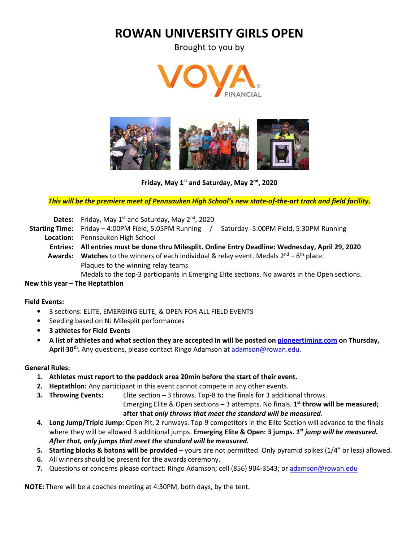# **ROWAN UNIVERSITY GIRLS OPEN**

Brought to you by





**Friday, May 1st and Saturday, May 2nd, 2020** 

#### *This will be the premiere meet of Pennsauken High School's new state-of-the-art track and field facility.*

**Dates:** Friday, May 1<sup>st</sup> and Saturday, May 2<sup>nd</sup>, 2020

**Starting Time:** Friday – 4:00PM Field, 5:05PM Running / Saturday -5:00PM Field, 5:30PM Running **Location:** Pennsauken High School

- **Entries: All entries must be done thru Milesplit. Online Entry Deadline: Wednesday, April 29, 2020**
- **Awards:** Watches to the winners of each individual & relay event. Medals 2<sup>nd</sup> 6<sup>th</sup> place. Plaques to the winning relay teams

Medals to the top-3 participants in Emerging Elite sections. No awards in the Open sections.

#### **New this year – The Heptathlon**

#### **Field Events:**

- 3 sections: ELITE, EMERGING ELITE, & OPEN FOR ALL FIELD EVENTS
- Seeding based on NJ Milesplit performances
- **3 athletes for Field Events**
- **A list of athletes and what section they are accepted in will be posted on pioneertiming.com on Thursday,**  April 30<sup>th</sup>. Any questions, please contact Ringo Adamson at adamson@rowan.edu.

#### **General Rules:**

- **1. Athletes must report to the paddock area 20min before the start of their event.**
- **2. Heptathlon:** Any participant in this event cannot compete in any other events.
- **3. Throwing Events:** Elite section 3 throws. Top-8 to the finals for 3 additional throws.

Emerging Elite & Open sections - 3 attempts. No finals. 1<sup>st</sup> throw will be measured; **after that** *only throws that meet the standard will be measured*.

- **4. Long Jump/Triple Jump:** Open Pit, 2 runways. Top-9 competitors in the Elite Section will advance to the finals where they will be allowed 3 additional jumps. **Emerging Elite & Open: 3 jumps.** *1 st jump will be measured. After that, only jumps that meet the standard will be measured.*
- **5. Starting blocks & batons will be provided** yours are not permitted. Only pyramid spikes (1/4" or less) allowed.
- **6.** All winners should be present for the awards ceremony.
- **7.** Questions or concerns please contact: Ringo Adamson; cell (856) 904-3543; or adamson@rowan.edu

**NOTE:** There will be a coaches meeting at 4:30PM, both days, by the tent.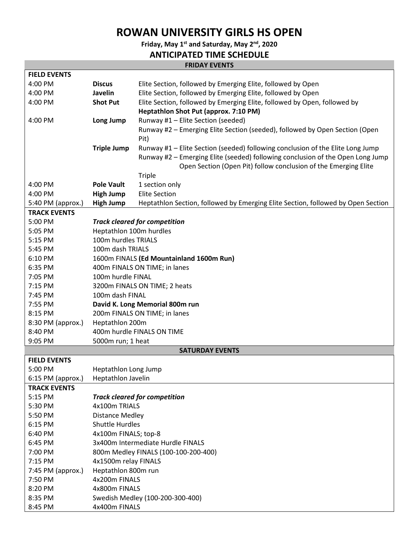## **ROWAN UNIVERSITY GIRLS HS OPEN**

## **Friday, May 1st and Saturday, May 2nd, 2020**

### **ANTICIPATED TIME SCHEDULE**

#### **FRIDAY EVENTS**

| <b>FIELD EVENTS</b> |                                          |                                                                                  |  |
|---------------------|------------------------------------------|----------------------------------------------------------------------------------|--|
| 4:00 PM             | <b>Discus</b>                            | Elite Section, followed by Emerging Elite, followed by Open                      |  |
| 4:00 PM             | Javelin                                  | Elite Section, followed by Emerging Elite, followed by Open                      |  |
| 4:00 PM             | <b>Shot Put</b>                          | Elite Section, followed by Emerging Elite, followed by Open, followed by         |  |
|                     |                                          | Heptathlon Shot Put (approx. 7:10 PM)                                            |  |
| 4:00 PM             | Long Jump                                | Runway #1 - Elite Section (seeded)                                               |  |
|                     |                                          | Runway #2 - Emerging Elite Section (seeded), followed by Open Section (Open      |  |
|                     |                                          | Pit)                                                                             |  |
|                     | <b>Triple Jump</b>                       | Runway #1 - Elite Section (seeded) following conclusion of the Elite Long Jump   |  |
|                     |                                          | Runway #2 - Emerging Elite (seeded) following conclusion of the Open Long Jump   |  |
|                     |                                          | Open Section (Open Pit) follow conclusion of the Emerging Elite                  |  |
|                     |                                          | <b>Triple</b>                                                                    |  |
| 4:00 PM             | <b>Pole Vault</b>                        | 1 section only                                                                   |  |
| 4:00 PM             | <b>High Jump</b>                         | <b>Elite Section</b>                                                             |  |
| 5:40 PM (approx.)   | <b>High Jump</b>                         | Heptathlon Section, followed by Emerging Elite Section, followed by Open Section |  |
| <b>TRACK EVENTS</b> |                                          |                                                                                  |  |
| 5:00 PM             |                                          | <b>Track cleared for competition</b>                                             |  |
| 5:05 PM             | Heptathlon 100m hurdles                  |                                                                                  |  |
| 5:15 PM             | 100m hurdles TRIALS                      |                                                                                  |  |
| 5:45 PM             | 100m dash TRIALS                         |                                                                                  |  |
| 6:10 PM             | 1600m FINALS (Ed Mountainland 1600m Run) |                                                                                  |  |
| 6:35 PM             | 400m FINALS ON TIME; in lanes            |                                                                                  |  |
| 7:05 PM             | 100m hurdle FINAL                        |                                                                                  |  |
| 7:15 PM             | 3200m FINALS ON TIME; 2 heats            |                                                                                  |  |
| 7:45 PM             | 100m dash FINAL                          |                                                                                  |  |
| 7:55 PM             | David K. Long Memorial 800m run          |                                                                                  |  |
| 8:15 PM             | 200m FINALS ON TIME; in lanes            |                                                                                  |  |
| 8:30 PM (approx.)   | Heptathlon 200m                          |                                                                                  |  |
| 8:40 PM             |                                          | 400m hurdle FINALS ON TIME                                                       |  |
| 9:05 PM             | 5000m run; 1 heat                        |                                                                                  |  |
|                     |                                          | <b>SATURDAY EVENTS</b>                                                           |  |
| <b>FIELD EVENTS</b> |                                          |                                                                                  |  |
| 5:00 PM             | Heptathlon Long Jump                     |                                                                                  |  |
| 6:15 PM (approx.)   | Heptathlon Javelin                       |                                                                                  |  |
| <b>TRACK EVENTS</b> |                                          |                                                                                  |  |
| 5:15 PM             |                                          | <b>Track cleared for competition</b>                                             |  |
| 5:30 PM             | 4x100m TRIALS                            |                                                                                  |  |
| 5:50 PM             | <b>Distance Medley</b>                   |                                                                                  |  |
| 6:15 PM             | <b>Shuttle Hurdles</b>                   |                                                                                  |  |
| 6:40 PM             | 4x100m FINALS; top-8                     |                                                                                  |  |
| 6:45 PM             |                                          | 3x400m Intermediate Hurdle FINALS                                                |  |
| 7:00 PM             |                                          | 800m Medley FINALS (100-100-200-400)                                             |  |
| 7:15 PM             | 4x1500m relay FINALS                     |                                                                                  |  |
| $7:45$ PM (approx.) | Heptathlon 800m run                      |                                                                                  |  |
| 7:50 PM             | 4x200m FINALS                            |                                                                                  |  |
| 8:20 PM             | 4x800m FINALS                            |                                                                                  |  |
| 8:35 PM             |                                          | Swedish Medley (100-200-300-400)                                                 |  |
| 8:45 PM             | 4x400m FINALS                            |                                                                                  |  |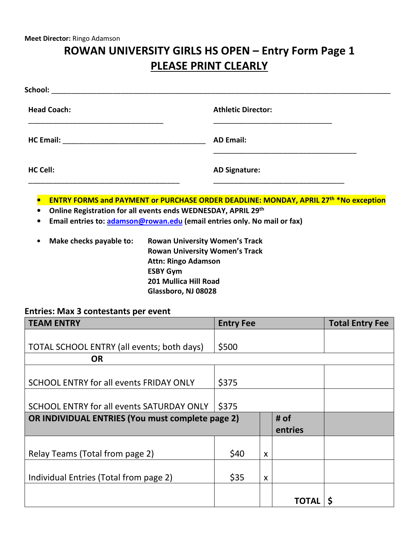# **ROWAN UNIVERSITY GIRLS HS OPEN – Entry Form Page 1 PLEASE PRINT CLEARLY**

| <b>Head Coach:</b>                           | <b>Athletic Director:</b> |  |
|----------------------------------------------|---------------------------|--|
| HC Email: <u>___________________________</u> | <b>AD Email:</b>          |  |
| <b>HC Cell:</b>                              | <b>AD Signature:</b>      |  |
|                                              |                           |  |

- **ENTRY FORMS and PAYMENT or PURCHASE ORDER DEADLINE: MONDAY, APRIL 27th \*No exception**
- **Online Registration for all events ends WEDNESDAY, APRIL 29th**
- **Email entries to: adamson@rowan.edu (email entries only. No mail or fax)**
- **Make checks payable to: Rowan University Women's Track Rowan University Women's Track Attn: Ringo Adamson ESBY Gym 201 Mullica Hill Road Glassboro, NJ 08028**

#### **Entries: Max 3 contestants per event**

| <b>TEAM ENTRY</b>                                | <b>Entry Fee</b> |   | <b>Total Entry Fee</b> |  |
|--------------------------------------------------|------------------|---|------------------------|--|
| TOTAL SCHOOL ENTRY (all events; both days)       | \$500            |   |                        |  |
| <b>OR</b>                                        |                  |   |                        |  |
| SCHOOL ENTRY for all events FRIDAY ONLY          | \$375            |   |                        |  |
| SCHOOL ENTRY for all events SATURDAY ONLY        | \$375            |   |                        |  |
| OR INDIVIDUAL ENTRIES (You must complete page 2) |                  |   | # of<br>entries        |  |
| Relay Teams (Total from page 2)                  | \$40             | X |                        |  |
| Individual Entries (Total from page 2)           | \$35             | X |                        |  |
|                                                  |                  |   | <b>TOTAL</b>           |  |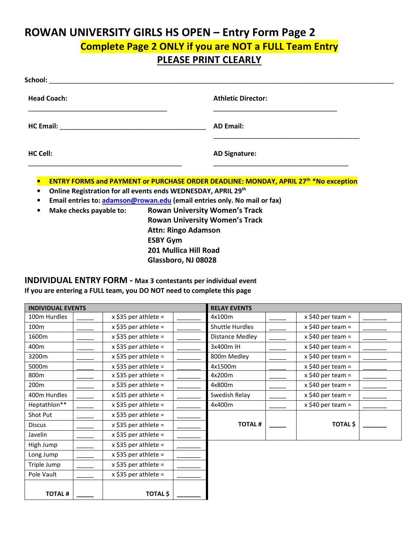## **ROWAN UNIVERSITY GIRLS HS OPEN – Entry Form Page 2 Complete Page 2 ONLY if you are NOT a FULL Team Entry PLEASE PRINT CLEARLY**

| <b>Athletic Director:</b>                                                                                                                                                                                                                                                                                |
|----------------------------------------------------------------------------------------------------------------------------------------------------------------------------------------------------------------------------------------------------------------------------------------------------------|
| <b>AD Email:</b>                                                                                                                                                                                                                                                                                         |
| <b>AD Signature:</b>                                                                                                                                                                                                                                                                                     |
| ENTRY FORMS and PAYMENT or PURCHASE ORDER DEADLINE: MONDAY, APRIL 27 <sup>th *</sup> No exception<br>Online Registration for all events ends WEDNESDAY, APRIL 29th<br>Email entries to: adamson@rowan.edu (email entries only. No mail or fax)<br>Make checks navable to: Rowan University Women's Track |
|                                                                                                                                                                                                                                                                                                          |

• **Make checks payable to: Rowan University Women's Track Rowan University Women's Track Attn: Ringo Adamson ESBY Gym 201 Mullica Hill Road Glassboro, NJ 08028**

## **INDIVIDUAL ENTRY FORM - Max 3 contestants per individual event**

#### **If you are entering a FULL team, you DO NOT need to complete this page**

| <b>INDIVIDUAL EVENTS</b> |                        | <b>RELAY EVENTS</b>    |                     |  |
|--------------------------|------------------------|------------------------|---------------------|--|
| 100m Hurdles             | $x$ \$35 per athlete = | 4x100m                 | $x$ \$40 per team = |  |
| 100m                     | $x$ \$35 per athlete = | <b>Shuttle Hurdles</b> | $x$ \$40 per team = |  |
| 1600m                    | $x$ \$35 per athlete = | Distance Medley        | $x$ \$40 per team = |  |
| 400m                     | $x$ \$35 per athlete = | 3x400m IH              | $x$ \$40 per team = |  |
| 3200m                    | $x$ \$35 per athlete = | 800m Medley            | $x$ \$40 per team = |  |
| 5000m                    | $x$ \$35 per athlete = | 4x1500m                | $x$ \$40 per team = |  |
| 800m                     | $x$ \$35 per athlete = | 4x200m                 | $x$ \$40 per team = |  |
| 200m                     | $x$ \$35 per athlete = | 4x800m                 | $x$ \$40 per team = |  |
| 400m Hurdles             | $x$ \$35 per athlete = | Swedish Relay          | $x$ \$40 per team = |  |
| Heptathlon**             | $x$ \$35 per athlete = | 4x400m                 | $x$ \$40 per team = |  |
| Shot Put                 | $x$ \$35 per athlete = |                        |                     |  |
| <b>Discus</b>            | $x$ \$35 per athlete = | <b>TOTAL#</b>          | <b>TOTAL</b> \$     |  |
| Javelin                  | $x$ \$35 per athlete = |                        |                     |  |
| High Jump                | $x$ \$35 per athlete = |                        |                     |  |
| Long Jump                | $x$ \$35 per athlete = |                        |                     |  |
| Triple Jump              | $x$ \$35 per athlete = |                        |                     |  |
| Pole Vault               | $x$ \$35 per athlete = |                        |                     |  |
|                          |                        |                        |                     |  |
| <b>TOTAL#</b>            | <b>TOTAL</b> \$        |                        |                     |  |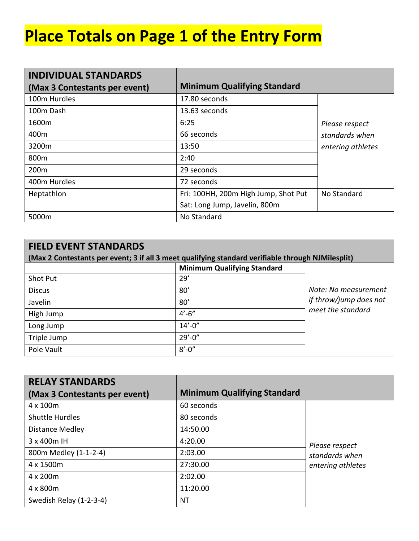# **Place Totals on Page 1 of the Entry Form**

| <b>INDIVIDUAL STANDARDS</b>   |                                      |                   |
|-------------------------------|--------------------------------------|-------------------|
| (Max 3 Contestants per event) | <b>Minimum Qualifying Standard</b>   |                   |
| 100m Hurdles                  | 17.80 seconds                        |                   |
| 100m Dash                     | 13.63 seconds                        |                   |
| 1600m                         | 6:25                                 | Please respect    |
| 400m                          | 66 seconds                           | standards when    |
| 3200m                         | 13:50                                | entering athletes |
| 800m                          | 2:40                                 |                   |
| 200 <sub>m</sub>              | 29 seconds                           |                   |
| 400m Hurdles                  | 72 seconds                           |                   |
| Heptathlon                    | Fri: 100HH, 200m High Jump, Shot Put | No Standard       |
|                               | Sat: Long Jump, Javelin, 800m        |                   |
| 5000m                         | No Standard                          |                   |

| <b>FIELD EVENT STANDARDS</b>                                                                      |                                    |                        |  |
|---------------------------------------------------------------------------------------------------|------------------------------------|------------------------|--|
| (Max 2 Contestants per event; 3 if all 3 meet qualifying standard verifiable through NJMilesplit) |                                    |                        |  |
|                                                                                                   | <b>Minimum Qualifying Standard</b> |                        |  |
| <b>Shot Put</b>                                                                                   | 29'                                |                        |  |
| <b>Discus</b>                                                                                     | 80'                                | Note: No measurement   |  |
| Javelin                                                                                           | 80'                                | if throw/jump does not |  |
| High Jump                                                                                         | $4' - 6''$                         | meet the standard      |  |
| Long Jump                                                                                         | $14' - 0''$                        |                        |  |
| Triple Jump                                                                                       | $29' - 0''$                        |                        |  |
| Pole Vault                                                                                        | $8' - 0''$                         |                        |  |

| <b>RELAY STANDARDS</b>        |                                    |                   |
|-------------------------------|------------------------------------|-------------------|
| (Max 3 Contestants per event) | <b>Minimum Qualifying Standard</b> |                   |
| 4 x 100m                      | 60 seconds                         |                   |
| <b>Shuttle Hurdles</b>        | 80 seconds                         |                   |
| <b>Distance Medley</b>        | 14:50.00                           |                   |
| 3 x 400m IH                   | 4:20.00                            | Please respect    |
| 800m Medley (1-1-2-4)         | 2:03.00                            | standards when    |
| 4 x 1500m                     | 27:30.00                           | entering athletes |
| 4 x 200 m                     | 2:02.00                            |                   |
| 4 x 800m                      | 11:20.00                           |                   |
| Swedish Relay (1-2-3-4)       | NΤ                                 |                   |